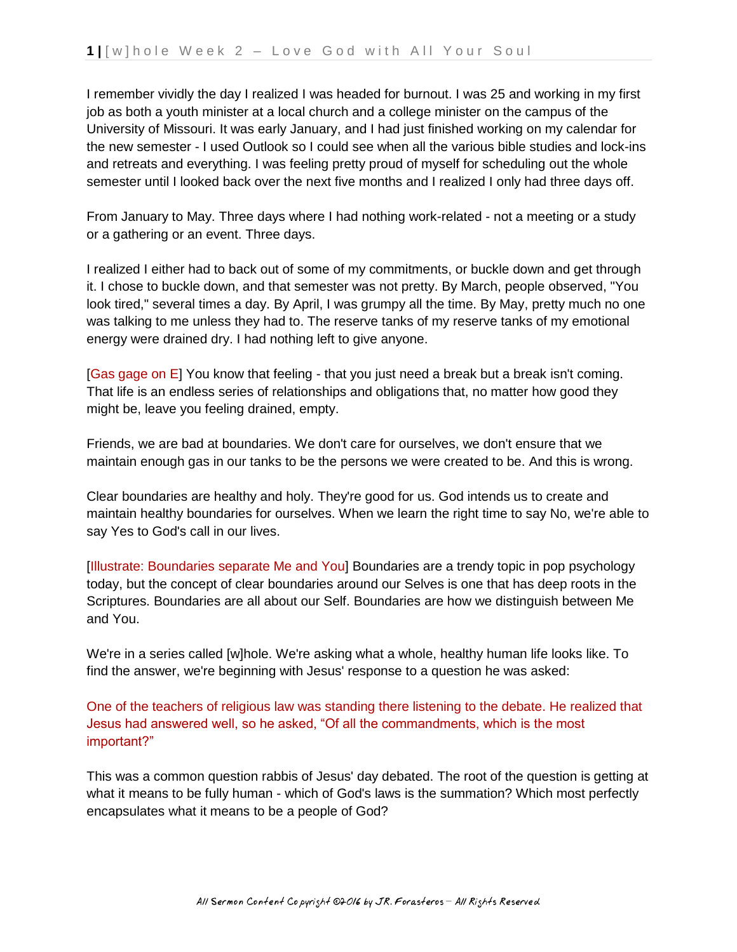I remember vividly the day I realized I was headed for burnout. I was 25 and working in my first job as both a youth minister at a local church and a college minister on the campus of the University of Missouri. It was early January, and I had just finished working on my calendar for the new semester - I used Outlook so I could see when all the various bible studies and lock-ins and retreats and everything. I was feeling pretty proud of myself for scheduling out the whole semester until I looked back over the next five months and I realized I only had three days off.

From January to May. Three days where I had nothing work-related - not a meeting or a study or a gathering or an event. Three days.

I realized I either had to back out of some of my commitments, or buckle down and get through it. I chose to buckle down, and that semester was not pretty. By March, people observed, "You look tired," several times a day. By April, I was grumpy all the time. By May, pretty much no one was talking to me unless they had to. The reserve tanks of my reserve tanks of my emotional energy were drained dry. I had nothing left to give anyone.

[Gas gage on E] You know that feeling - that you just need a break but a break isn't coming. That life is an endless series of relationships and obligations that, no matter how good they might be, leave you feeling drained, empty.

Friends, we are bad at boundaries. We don't care for ourselves, we don't ensure that we maintain enough gas in our tanks to be the persons we were created to be. And this is wrong.

Clear boundaries are healthy and holy. They're good for us. God intends us to create and maintain healthy boundaries for ourselves. When we learn the right time to say No, we're able to say Yes to God's call in our lives.

[Illustrate: Boundaries separate Me and You] Boundaries are a trendy topic in pop psychology today, but the concept of clear boundaries around our Selves is one that has deep roots in the Scriptures. Boundaries are all about our Self. Boundaries are how we distinguish between Me and You.

We're in a series called [w]hole. We're asking what a whole, healthy human life looks like. To find the answer, we're beginning with Jesus' response to a question he was asked:

One of the teachers of religious law was standing there listening to the debate. He realized that Jesus had answered well, so he asked, "Of all the commandments, which is the most important?"

This was a common question rabbis of Jesus' day debated. The root of the question is getting at what it means to be fully human - which of God's laws is the summation? Which most perfectly encapsulates what it means to be a people of God?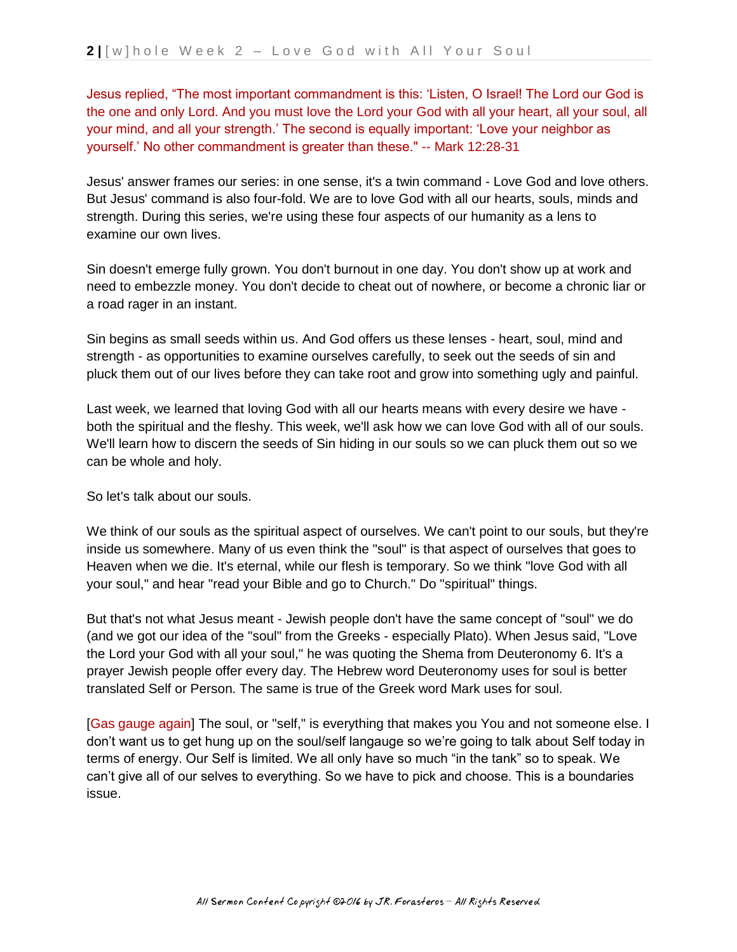Jesus replied, "The most important commandment is this: 'Listen, O Israel! The Lord our God is the one and only Lord. And you must love the Lord your God with all your heart, all your soul, all your mind, and all your strength.' The second is equally important: 'Love your neighbor as yourself.' No other commandment is greater than these." -- Mark 12:28-31

Jesus' answer frames our series: in one sense, it's a twin command - Love God and love others. But Jesus' command is also four-fold. We are to love God with all our hearts, souls, minds and strength. During this series, we're using these four aspects of our humanity as a lens to examine our own lives.

Sin doesn't emerge fully grown. You don't burnout in one day. You don't show up at work and need to embezzle money. You don't decide to cheat out of nowhere, or become a chronic liar or a road rager in an instant.

Sin begins as small seeds within us. And God offers us these lenses - heart, soul, mind and strength - as opportunities to examine ourselves carefully, to seek out the seeds of sin and pluck them out of our lives before they can take root and grow into something ugly and painful.

Last week, we learned that loving God with all our hearts means with every desire we have both the spiritual and the fleshy. This week, we'll ask how we can love God with all of our souls. We'll learn how to discern the seeds of Sin hiding in our souls so we can pluck them out so we can be whole and holy.

So let's talk about our souls.

We think of our souls as the spiritual aspect of ourselves. We can't point to our souls, but they're inside us somewhere. Many of us even think the "soul" is that aspect of ourselves that goes to Heaven when we die. It's eternal, while our flesh is temporary. So we think "love God with all your soul," and hear "read your Bible and go to Church." Do "spiritual" things.

But that's not what Jesus meant - Jewish people don't have the same concept of "soul" we do (and we got our idea of the "soul" from the Greeks - especially Plato). When Jesus said, "Love the Lord your God with all your soul," he was quoting the Shema from Deuteronomy 6. It's a prayer Jewish people offer every day. The Hebrew word Deuteronomy uses for soul is better translated Self or Person. The same is true of the Greek word Mark uses for soul.

[Gas gauge again] The soul, or "self," is everything that makes you You and not someone else. I don't want us to get hung up on the soul/self langauge so we're going to talk about Self today in terms of energy. Our Self is limited. We all only have so much "in the tank" so to speak. We can't give all of our selves to everything. So we have to pick and choose. This is a boundaries issue.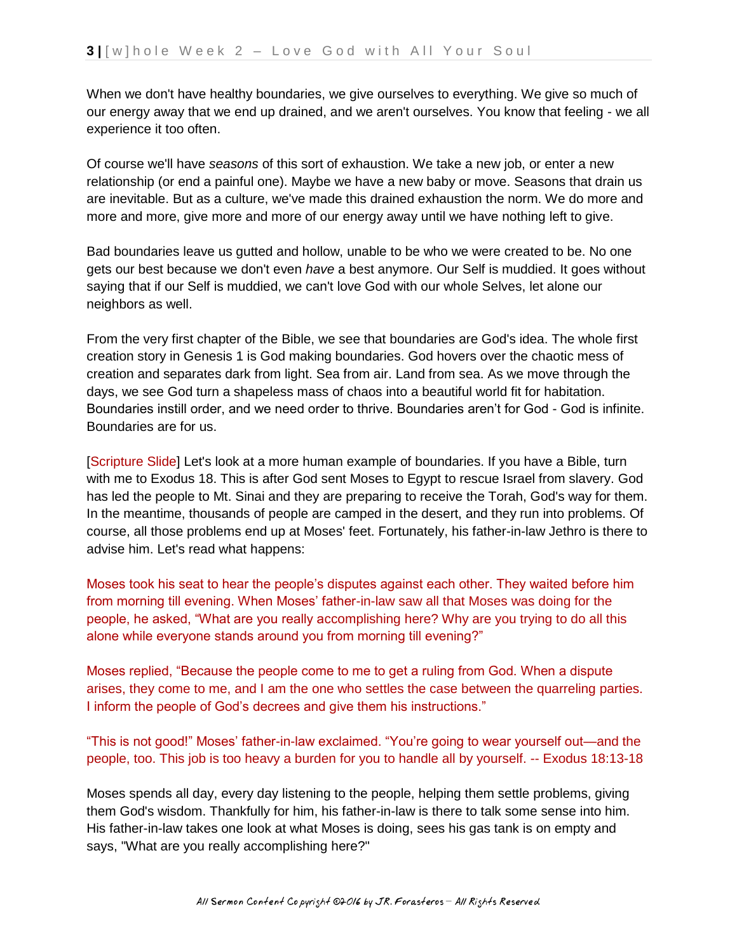When we don't have healthy boundaries, we give ourselves to everything. We give so much of our energy away that we end up drained, and we aren't ourselves. You know that feeling - we all experience it too often.

Of course we'll have *seasons* of this sort of exhaustion. We take a new job, or enter a new relationship (or end a painful one). Maybe we have a new baby or move. Seasons that drain us are inevitable. But as a culture, we've made this drained exhaustion the norm. We do more and more and more, give more and more of our energy away until we have nothing left to give.

Bad boundaries leave us gutted and hollow, unable to be who we were created to be. No one gets our best because we don't even *have* a best anymore. Our Self is muddied. It goes without saying that if our Self is muddied, we can't love God with our whole Selves, let alone our neighbors as well.

From the very first chapter of the Bible, we see that boundaries are God's idea. The whole first creation story in Genesis 1 is God making boundaries. God hovers over the chaotic mess of creation and separates dark from light. Sea from air. Land from sea. As we move through the days, we see God turn a shapeless mass of chaos into a beautiful world fit for habitation. Boundaries instill order, and we need order to thrive. Boundaries aren't for God - God is infinite. Boundaries are for us.

[Scripture Slide] Let's look at a more human example of boundaries. If you have a Bible, turn with me to Exodus 18. This is after God sent Moses to Egypt to rescue Israel from slavery. God has led the people to Mt. Sinai and they are preparing to receive the Torah, God's way for them. In the meantime, thousands of people are camped in the desert, and they run into problems. Of course, all those problems end up at Moses' feet. Fortunately, his father-in-law Jethro is there to advise him. Let's read what happens:

Moses took his seat to hear the people's disputes against each other. They waited before him from morning till evening. When Moses' father-in-law saw all that Moses was doing for the people, he asked, "What are you really accomplishing here? Why are you trying to do all this alone while everyone stands around you from morning till evening?"

Moses replied, "Because the people come to me to get a ruling from God. When a dispute arises, they come to me, and I am the one who settles the case between the quarreling parties. I inform the people of God's decrees and give them his instructions."

"This is not good!" Moses' father-in-law exclaimed. "You're going to wear yourself out—and the people, too. This job is too heavy a burden for you to handle all by yourself. -- Exodus 18:13-18

Moses spends all day, every day listening to the people, helping them settle problems, giving them God's wisdom. Thankfully for him, his father-in-law is there to talk some sense into him. His father-in-law takes one look at what Moses is doing, sees his gas tank is on empty and says, "What are you really accomplishing here?"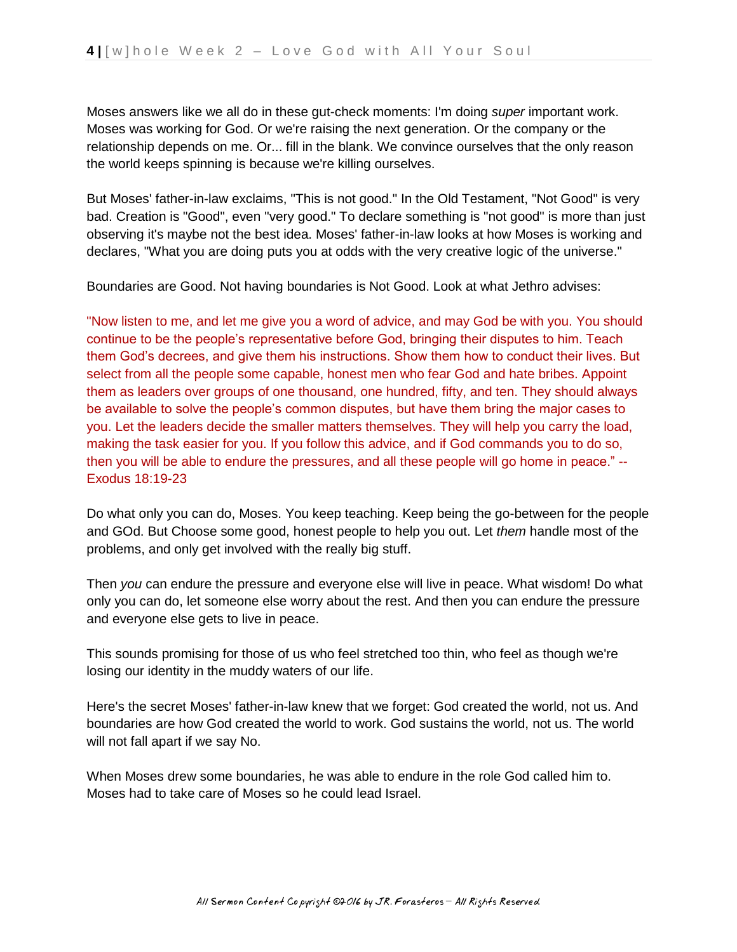Moses answers like we all do in these gut-check moments: I'm doing *super* important work. Moses was working for God. Or we're raising the next generation. Or the company or the relationship depends on me. Or... fill in the blank. We convince ourselves that the only reason the world keeps spinning is because we're killing ourselves.

But Moses' father-in-law exclaims, "This is not good." In the Old Testament, "Not Good" is very bad. Creation is "Good", even "very good." To declare something is "not good" is more than just observing it's maybe not the best idea. Moses' father-in-law looks at how Moses is working and declares, "What you are doing puts you at odds with the very creative logic of the universe."

Boundaries are Good. Not having boundaries is Not Good. Look at what Jethro advises:

"Now listen to me, and let me give you a word of advice, and may God be with you. You should continue to be the people's representative before God, bringing their disputes to him. Teach them God's decrees, and give them his instructions. Show them how to conduct their lives. But select from all the people some capable, honest men who fear God and hate bribes. Appoint them as leaders over groups of one thousand, one hundred, fifty, and ten. They should always be available to solve the people's common disputes, but have them bring the major cases to you. Let the leaders decide the smaller matters themselves. They will help you carry the load, making the task easier for you. If you follow this advice, and if God commands you to do so, then you will be able to endure the pressures, and all these people will go home in peace." -- Exodus 18:19-23

Do what only you can do, Moses. You keep teaching. Keep being the go-between for the people and GOd. But Choose some good, honest people to help you out. Let *them* handle most of the problems, and only get involved with the really big stuff.

Then *you* can endure the pressure and everyone else will live in peace. What wisdom! Do what only you can do, let someone else worry about the rest. And then you can endure the pressure and everyone else gets to live in peace.

This sounds promising for those of us who feel stretched too thin, who feel as though we're losing our identity in the muddy waters of our life.

Here's the secret Moses' father-in-law knew that we forget: God created the world, not us. And boundaries are how God created the world to work. God sustains the world, not us. The world will not fall apart if we say No.

When Moses drew some boundaries, he was able to endure in the role God called him to. Moses had to take care of Moses so he could lead Israel.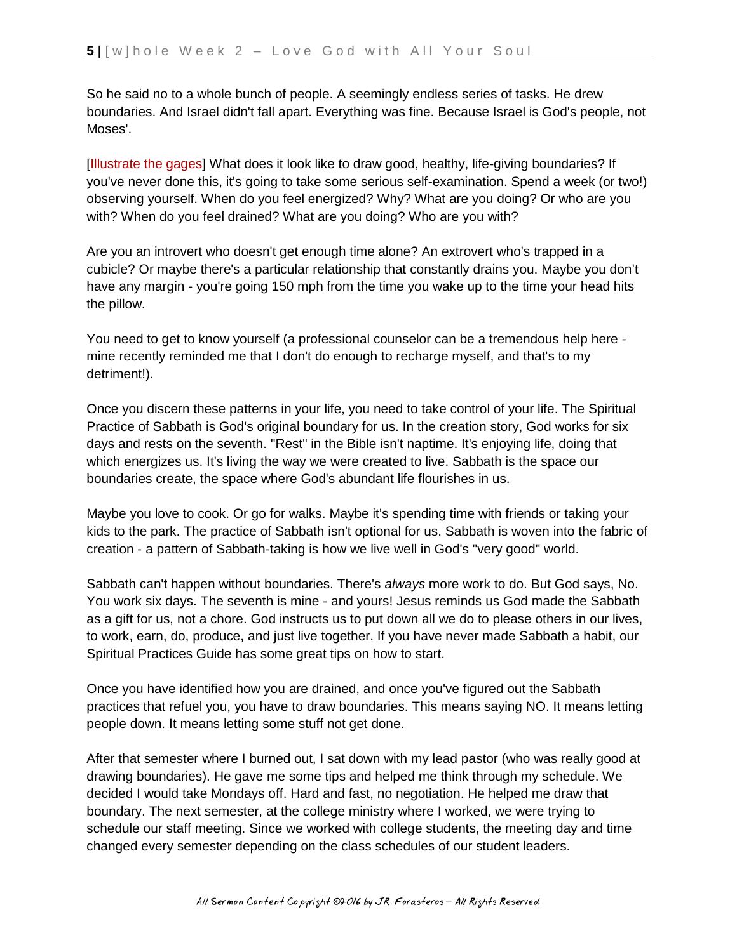So he said no to a whole bunch of people. A seemingly endless series of tasks. He drew boundaries. And Israel didn't fall apart. Everything was fine. Because Israel is God's people, not Moses'.

[Illustrate the gages] What does it look like to draw good, healthy, life-giving boundaries? If you've never done this, it's going to take some serious self-examination. Spend a week (or two!) observing yourself. When do you feel energized? Why? What are you doing? Or who are you with? When do you feel drained? What are you doing? Who are you with?

Are you an introvert who doesn't get enough time alone? An extrovert who's trapped in a cubicle? Or maybe there's a particular relationship that constantly drains you. Maybe you don't have any margin - you're going 150 mph from the time you wake up to the time your head hits the pillow.

You need to get to know yourself (a professional counselor can be a tremendous help here mine recently reminded me that I don't do enough to recharge myself, and that's to my detriment!).

Once you discern these patterns in your life, you need to take control of your life. The Spiritual Practice of Sabbath is God's original boundary for us. In the creation story, God works for six days and rests on the seventh. "Rest" in the Bible isn't naptime. It's enjoying life, doing that which energizes us. It's living the way we were created to live. Sabbath is the space our boundaries create, the space where God's abundant life flourishes in us.

Maybe you love to cook. Or go for walks. Maybe it's spending time with friends or taking your kids to the park. The practice of Sabbath isn't optional for us. Sabbath is woven into the fabric of creation - a pattern of Sabbath-taking is how we live well in God's "very good" world.

Sabbath can't happen without boundaries. There's *always* more work to do. But God says, No. You work six days. The seventh is mine - and yours! Jesus reminds us God made the Sabbath as a gift for us, not a chore. God instructs us to put down all we do to please others in our lives, to work, earn, do, produce, and just live together. If you have never made Sabbath a habit, our Spiritual Practices Guide has some great tips on how to start.

Once you have identified how you are drained, and once you've figured out the Sabbath practices that refuel you, you have to draw boundaries. This means saying NO. It means letting people down. It means letting some stuff not get done.

After that semester where I burned out, I sat down with my lead pastor (who was really good at drawing boundaries). He gave me some tips and helped me think through my schedule. We decided I would take Mondays off. Hard and fast, no negotiation. He helped me draw that boundary. The next semester, at the college ministry where I worked, we were trying to schedule our staff meeting. Since we worked with college students, the meeting day and time changed every semester depending on the class schedules of our student leaders.